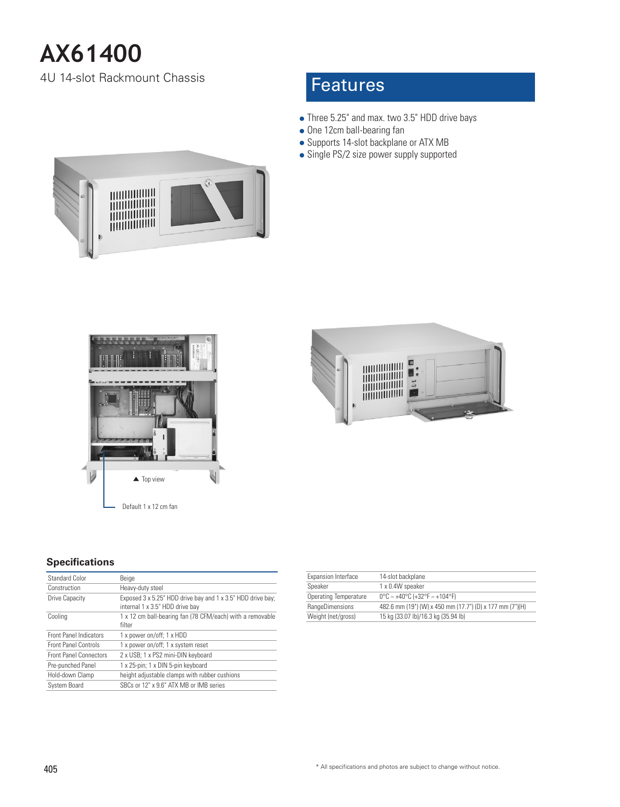# **AX61400**

4U 14-slot Rackmount Chassis

# **Features**

- Three 5.25" and max. two 3.5" HDD drive bays
- One 12cm ball-bearing fan
- Supports 14-slot backplane or ATX MB
- Single PS/2 size power supply supported







### **Specifications**

| Standard Color                | Beige                                                                                          |
|-------------------------------|------------------------------------------------------------------------------------------------|
| Construction                  | Heavy-duty steel                                                                               |
| Drive Capacity                | Exposed 3 x 5.25" HDD drive bay and 1 x 3.5" HDD drive bay;<br>internal 1 x 3.5" HDD drive bay |
| Cooling                       | 1 x 12 cm ball-bearing fan (78 CFM/each) with a removable<br>filter                            |
| <b>Front Panel Indicators</b> | 1 x power on/off; 1 x HDD                                                                      |
| <b>Front Panel Controls</b>   | 1 x power on/off; 1 x system reset                                                             |
| <b>Front Panel Connectors</b> | 2 x USB; 1 x PS2 mini-DIN keyboard                                                             |
| Pre-punched Panel             | 1 x 25-pin; 1 x DIN 5-pin keyboard                                                             |
| Hold-down Clamp               | height adjustable clamps with rubber cushions                                                  |
| System Board                  | SBCs or 12" x 9.6" ATX MB or IMB series                                                        |

| Expansion Interface          | 14-slot backplane                                        |
|------------------------------|----------------------------------------------------------|
| Speaker                      | 1 x 0.4W speaker                                         |
| <b>Operating Temperature</b> | $0^{\circ}$ C ~ +40°C (+32°F ~ +104°F)                   |
| RangeDimensions              | 482.6 mm (19") (W) x 450 mm (17.7") (D) x 177 mm (7")(H) |
| Weight (net/gross)           | 15 kg (33.07 lb)/16.3 kg (35.94 lb)                      |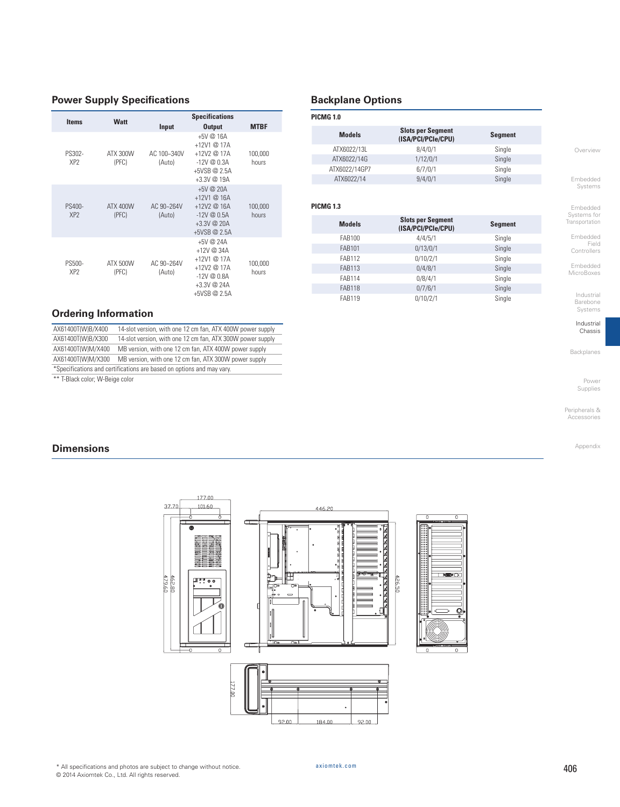#### **Power Supply Specifications**

| <b>Items</b>                     | Watt                     |                       | <b>Specifications</b>                                                                                   |                  |
|----------------------------------|--------------------------|-----------------------|---------------------------------------------------------------------------------------------------------|------------------|
|                                  |                          | Input                 | <b>Output</b>                                                                                           | <b>MTBF</b>      |
| PS302-<br>XP <sub>2</sub>        | ATX 300W<br>(PFC)        | AC 100~340V<br>(Auto) | $+5V(216A)$<br>$+12V1@17A$<br>$+12V2@17A$<br>$-12V@0.3A$<br>+5VSB @ 2.5A<br>$+3.3V$ @ 19A               | 100,000<br>hours |
| <b>PS400-</b><br>XP <sub>2</sub> | <b>ATX 400W</b><br>(PFC) | AC 90~264V<br>(Auto)  | $+5V$ @ 20A<br>$+12V1@16A$<br>$+12V2@16A$<br>$-12V@0.5A$<br>+3.3V @ 20A<br>+5VSB @ 2.5A                 | 100,000<br>hours |
| PS500-<br>XP <sub>2</sub>        | <b>ATX 500W</b><br>(PFC) | AC 90~264V<br>(Auto)  | +5V @ $24A$<br>+12V @ 34A<br>+12V1 @ 17A<br>$+12V2@17A$<br>$-12V@0.8A$<br>+3.3V @ 24A<br>$+5VSB @ 2.5A$ | 100,000<br>hours |

#### **Ordering Information**

| AX61400T(W)B/X400 | 14-slot version, with one 12 cm fan, ATX 400W power supply            |
|-------------------|-----------------------------------------------------------------------|
| AX61400T(W)B/X300 | 14-slot version, with one 12 cm fan, ATX 300W power supply            |
| AX61400T(W)M/X400 | MB version, with one 12 cm fan, ATX 400W power supply                 |
| AX61400T(W)M/X300 | MB version, with one 12 cm fan, ATX 300W power supply                 |
|                   | *Specifications and certifications are based on options and may vary. |

\*\* T-Black color; W-Beige color

### **Backplane Options**

| <b>PICMG 1.0</b> |                                                |                |
|------------------|------------------------------------------------|----------------|
| <b>Models</b>    | <b>Slots per Segment</b><br>(ISA/PCI/PCIe/CPU) | <b>Segment</b> |
| ATX6022/13L      | 8/4/0/1                                        | Single         |
| ATX6022/14G      | 1/12/0/1                                       | Single         |
| ATX6022/14GP7    | 6/7/0/1                                        | Single         |
| ATX6022/14       | 9/4/0/1                                        | Single         |
|                  |                                                |                |

#### **PICMG 1.3**

| Systems for<br>Transportation                                     |                |                                                |               |
|-------------------------------------------------------------------|----------------|------------------------------------------------|---------------|
|                                                                   | <b>Segment</b> | <b>Slots per Segment</b><br>(ISA/PCI/PCIe/CPU) | <b>Models</b> |
| Embedded<br>Field<br>Controllers<br>Embedded<br><b>MicroBoxes</b> | Single         | 4/4/5/1                                        | <b>FAB100</b> |
|                                                                   | Single         | 0/13/0/1                                       | <b>FAB101</b> |
|                                                                   | Single         | 0/10/2/1                                       | <b>FAB112</b> |
|                                                                   | Single         | 0/4/8/1                                        | <b>FAB113</b> |
|                                                                   | Single         | 0/8/4/1                                        | <b>FAB114</b> |
| Industrial<br>Darahana                                            | Single         | 0/7/6/1                                        | <b>FAB118</b> |
|                                                                   | Single         | 0/10/2/1                                       | <b>FAB119</b> |

Barebone Systems Industrial

Embedded

Chassis

Backplanes

Power Supplies

Appendix

Peripherals & Accessories

## **Dimensions**



92.00

**INSPO** 

184.00

 $\overline{a}$ 

 $92.00$